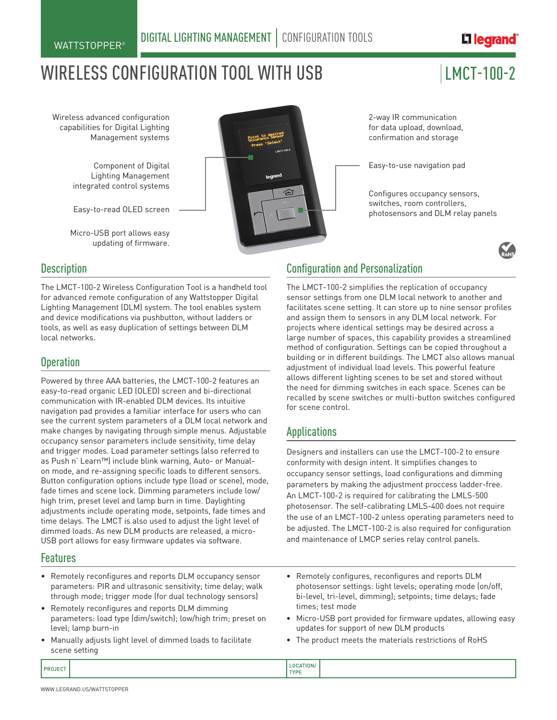## 디 *legrand*

# WIRELESS CONFIGURATION TOOL WITH USB  $\vert$  LMCT-100-2

Wireless advanced configuration capabilities for Digital Lighting Management systems

> Component of Digital Lighting Management integrated control systems

> Easy-to-read OLED screen

Micro-USB port allows easy updating of firmware.



2-way IR communication for data upload, download, confirmation and storage

Easy-to-use navigation pad

Configures occupancy sensors, switches, room controllers, photosensors and DLM relay panels



#### **Description**

The LMCT-100-2 Wireless Configuration Tool is a handheld tool for advanced remote configuration of any Wattstopper Digital Lighting Management (DLM) system. The tool enables system and device modifications via pushbutton, without ladders or tools, as well as easy duplication of settings between DLM local networks.

#### **Operation**

Powered by three AAA batteries, the LMCT-100-2 features an easy-to-read organic LED (OLED) screen and bi-directional communication with IR-enabled DLM devices. Its intuitive navigation pad provides a familiar interface for users who can see the current system parameters of a DLM local network and make changes by navigating through simple menus. Adjustable occupancy sensor parameters include sensitivity, time delay and trigger modes. Load parameter settings (also referred to as Push n' Learn™) include blink warning, Auto- or Manualon mode, and re-assigning specific loads to different sensors. Button configuration options include type (load or scene), mode, fade times and scene lock. Dimming parameters include low/ high trim, preset level and lamp burn in time. Daylighting adjustments include operating mode, setpoints, fade times and time delays. The LMCT is also used to adjust the light level of dimmed loads. As new DLM products are released, a micro-USB port allows for easy firmware updates via software.

#### Features

- Remotely reconfigures and reports DLM occupancy sensor parameters: PIR and ultrasonic sensitivity; time delay; walk through mode; trigger mode (for dual technology sensors)
- Remotely reconfigures and reports DLM dimming parameters: load type (dim/switch); low/high trim; preset on level; lamp burn-in
- Manually adjusts light level of dimmed loads to facilitate scene setting

#### Configuration and Personalization

The LMCT-100-2 simplifies the replication of occupancy sensor settings from one DLM local network to another and facilitates scene setting. It can store up to nine sensor profiles and assign them to sensors in any DLM local network. For projects where identical settings may be desired across a large number of spaces, this capability provides a streamlined method of configuration. Settings can be copied throughout a building or in different buildings. The LMCT also allows manual adjustment of individual load levels. This powerful feature allows different lighting scenes to be set and stored without the need for dimming switches in each space. Scenes can be recalled by scene switches or multi-button switches configured for scene control.

### Applications

Designers and installers can use the LMCT-100-2 to ensure conformity with design intent. It simplifies changes to occupancy sensor settings, load configurations and dimming parameters by making the adjustment proccess ladder-free. An LMCT-100-2 is required for calibrating the LMLS-500 photosensor. The self-calibrating LMLS-400 does not require the use of an LMCT-100-2 unless operating parameters need to be adjusted. The LMCT-100-2 is also required for configuration and maintenance of LMCP series relay control panels.

- Remotely configures, reconfigures and reports DLM photosensor settings: light levels; operating mode (on/off, bi-level, tri-level, dimming); setpoints; time delays; fade times; test mode
- Micro-USB port provided for firmware updates, allowing easy updates for support of new DLM products
- The product meets the materials restrictions of RoHS

LOCATION/ PROJECT **TYPE**